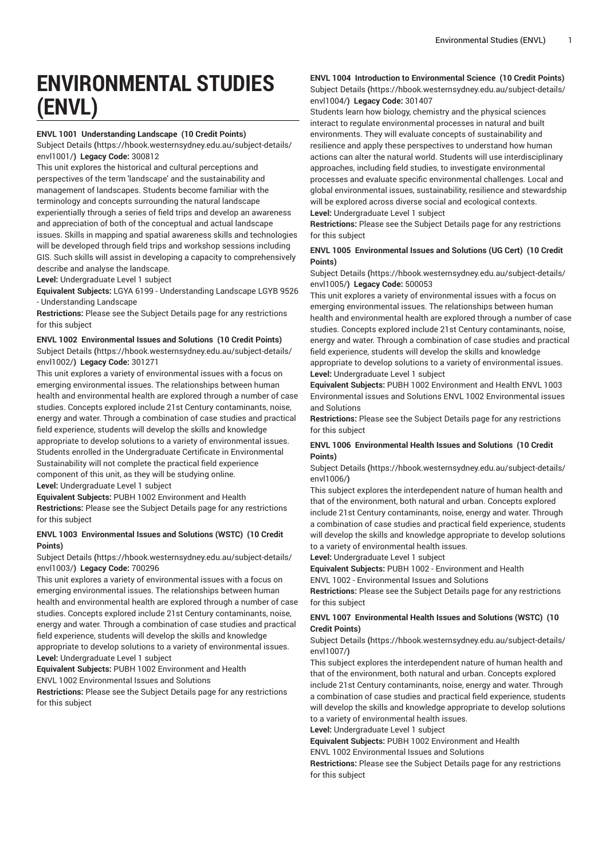# **ENVIRONMENTAL STUDIES (ENVL)**

# **ENVL 1001 Understanding Landscape (10 Credit Points)**

[Subject Details](https://hbook.westernsydney.edu.au/subject-details/envl1001/) **(**[https://hbook.westernsydney.edu.au/subject-details/](https://hbook.westernsydney.edu.au/subject-details/envl1001/) [envl1001/](https://hbook.westernsydney.edu.au/subject-details/envl1001/)**) Legacy Code:** 300812

This unit explores the historical and cultural perceptions and perspectives of the term 'landscape' and the sustainability and management of landscapes. Students become familiar with the terminology and concepts surrounding the natural landscape experientially through a series of field trips and develop an awareness and appreciation of both of the conceptual and actual landscape issues. Skills in mapping and spatial awareness skills and technologies will be developed through field trips and workshop sessions including GIS. Such skills will assist in developing a capacity to comprehensively describe and analyse the landscape.

**Level:** Undergraduate Level 1 subject

**Equivalent Subjects:** LGYA 6199 - Understanding Landscape LGYB 9526 - Understanding Landscape

**Restrictions:** Please see the Subject Details page for any restrictions for this subject

**ENVL 1002 Environmental Issues and Solutions (10 Credit Points)** [Subject Details](https://hbook.westernsydney.edu.au/subject-details/envl1002/) **(**[https://hbook.westernsydney.edu.au/subject-details/](https://hbook.westernsydney.edu.au/subject-details/envl1002/) [envl1002/](https://hbook.westernsydney.edu.au/subject-details/envl1002/)**) Legacy Code:** 301271

This unit explores a variety of environmental issues with a focus on emerging environmental issues. The relationships between human health and environmental health are explored through a number of case studies. Concepts explored include 21st Century contaminants, noise, energy and water. Through a combination of case studies and practical field experience, students will develop the skills and knowledge appropriate to develop solutions to a variety of environmental issues. Students enrolled in the Undergraduate Certificate in Environmental Sustainability will not complete the practical field experience component of this unit, as they will be studying online. **Level:** Undergraduate Level 1 subject

**Equivalent Subjects:** PUBH 1002 Environment and Health **Restrictions:** Please see the Subject Details page for any restrictions for this subject

# **ENVL 1003 Environmental Issues and Solutions (WSTC) (10 Credit Points)**

[Subject Details](https://hbook.westernsydney.edu.au/subject-details/envl1003/) **(**[https://hbook.westernsydney.edu.au/subject-details/](https://hbook.westernsydney.edu.au/subject-details/envl1003/) [envl1003/](https://hbook.westernsydney.edu.au/subject-details/envl1003/)**) Legacy Code:** 700296

This unit explores a variety of environmental issues with a focus on emerging environmental issues. The relationships between human health and environmental health are explored through a number of case studies. Concepts explored include 21st Century contaminants, noise, energy and water. Through a combination of case studies and practical field experience, students will develop the skills and knowledge appropriate to develop solutions to a variety of environmental issues. **Level:** Undergraduate Level 1 subject

**Equivalent Subjects:** PUBH 1002 Environment and Health ENVL 1002 Environmental Issues and Solutions

**Restrictions:** Please see the Subject Details page for any restrictions for this subject

#### **ENVL 1004 Introduction to Environmental Science (10 Credit Points)** [Subject Details](https://hbook.westernsydney.edu.au/subject-details/envl1004/) **(**[https://hbook.westernsydney.edu.au/subject-details/](https://hbook.westernsydney.edu.au/subject-details/envl1004/) [envl1004/](https://hbook.westernsydney.edu.au/subject-details/envl1004/)**) Legacy Code:** 301407

Students learn how biology, chemistry and the physical sciences interact to regulate environmental processes in natural and built environments. They will evaluate concepts of sustainability and resilience and apply these perspectives to understand how human actions can alter the natural world. Students will use interdisciplinary approaches, including field studies, to investigate environmental processes and evaluate specific environmental challenges. Local and global environmental issues, sustainability, resilience and stewardship will be explored across diverse social and ecological contexts. **Level:** Undergraduate Level 1 subject

**Restrictions:** Please see the Subject Details page for any restrictions for this subject

# **ENVL 1005 Environmental Issues and Solutions (UG Cert) (10 Credit Points)**

[Subject Details](https://hbook.westernsydney.edu.au/subject-details/envl1005/) **(**[https://hbook.westernsydney.edu.au/subject-details/](https://hbook.westernsydney.edu.au/subject-details/envl1005/) [envl1005/](https://hbook.westernsydney.edu.au/subject-details/envl1005/)**) Legacy Code:** 500053

This unit explores a variety of environmental issues with a focus on emerging environmental issues. The relationships between human health and environmental health are explored through a number of case studies. Concepts explored include 21st Century contaminants, noise, energy and water. Through a combination of case studies and practical field experience, students will develop the skills and knowledge appropriate to develop solutions to a variety of environmental issues.

**Level:** Undergraduate Level 1 subject

**Equivalent Subjects:** PUBH 1002 Environment and Health ENVL 1003 Environmental issues and Solutions ENVL 1002 Environmental issues and Solutions

**Restrictions:** Please see the Subject Details page for any restrictions for this subject

# **ENVL 1006 Environmental Health Issues and Solutions (10 Credit Points)**

[Subject Details](https://hbook.westernsydney.edu.au/subject-details/envl1006/) **(**[https://hbook.westernsydney.edu.au/subject-details/](https://hbook.westernsydney.edu.au/subject-details/envl1006/) [envl1006/](https://hbook.westernsydney.edu.au/subject-details/envl1006/)**)**

This subject explores the interdependent nature of human health and that of the environment, both natural and urban. Concepts explored include 21st Century contaminants, noise, energy and water. Through a combination of case studies and practical field experience, students will develop the skills and knowledge appropriate to develop solutions to a variety of environmental health issues.

**Level:** Undergraduate Level 1 subject

**Equivalent Subjects:** PUBH 1002 - Environment and Health

ENVL 1002 - Environmental Issues and Solutions

**Restrictions:** Please see the Subject Details page for any restrictions for this subject

# **ENVL 1007 Environmental Health Issues and Solutions (WSTC) (10 Credit Points)**

[Subject Details](https://hbook.westernsydney.edu.au/subject-details/envl1007/) **(**[https://hbook.westernsydney.edu.au/subject-details/](https://hbook.westernsydney.edu.au/subject-details/envl1007/) [envl1007/](https://hbook.westernsydney.edu.au/subject-details/envl1007/)**)**

This subject explores the interdependent nature of human health and that of the environment, both natural and urban. Concepts explored include 21st Century contaminants, noise, energy and water. Through a combination of case studies and practical field experience, students will develop the skills and knowledge appropriate to develop solutions to a variety of environmental health issues.

**Level:** Undergraduate Level 1 subject

**Equivalent Subjects:** PUBH 1002 Environment and Health ENVL 1002 Environmental Issues and Solutions

**Restrictions:** Please see the Subject Details page for any restrictions for this subject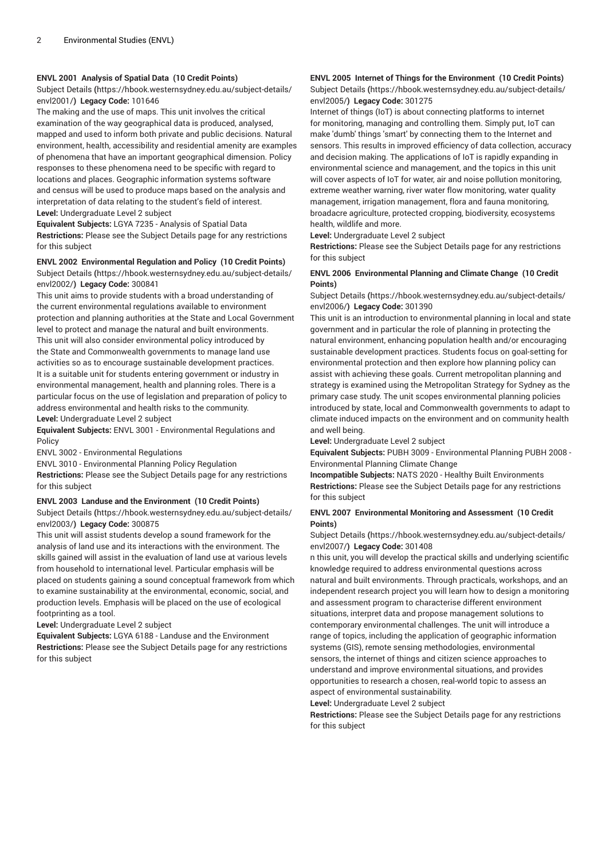# **ENVL 2001 Analysis of Spatial Data (10 Credit Points)**

[Subject Details](https://hbook.westernsydney.edu.au/subject-details/envl2001/) **(**[https://hbook.westernsydney.edu.au/subject-details/](https://hbook.westernsydney.edu.au/subject-details/envl2001/) [envl2001/](https://hbook.westernsydney.edu.au/subject-details/envl2001/)**) Legacy Code:** 101646

The making and the use of maps. This unit involves the critical examination of the way geographical data is produced, analysed, mapped and used to inform both private and public decisions. Natural environment, health, accessibility and residential amenity are examples of phenomena that have an important geographical dimension. Policy responses to these phenomena need to be specific with regard to locations and places. Geographic information systems software and census will be used to produce maps based on the analysis and interpretation of data relating to the student's field of interest. **Level:** Undergraduate Level 2 subject

**Equivalent Subjects:** LGYA 7235 - Analysis of Spatial Data **Restrictions:** Please see the Subject Details page for any restrictions for this subject

#### **ENVL 2002 Environmental Regulation and Policy (10 Credit Points)**

[Subject Details](https://hbook.westernsydney.edu.au/subject-details/envl2002/) **(**[https://hbook.westernsydney.edu.au/subject-details/](https://hbook.westernsydney.edu.au/subject-details/envl2002/) [envl2002/](https://hbook.westernsydney.edu.au/subject-details/envl2002/)**) Legacy Code:** 300841

This unit aims to provide students with a broad understanding of the current environmental regulations available to environment protection and planning authorities at the State and Local Government level to protect and manage the natural and built environments. This unit will also consider environmental policy introduced by the State and Commonwealth governments to manage land use activities so as to encourage sustainable development practices. It is a suitable unit for students entering government or industry in environmental management, health and planning roles. There is a particular focus on the use of legislation and preparation of policy to address environmental and health risks to the community. **Level:** Undergraduate Level 2 subject

**Equivalent Subjects:** ENVL 3001 - Environmental Regulations and Policy

ENVL 3002 - Environmental Regulations

ENVL 3010 - Environmental Planning Policy Regulation

**Restrictions:** Please see the Subject Details page for any restrictions for this subject

# **ENVL 2003 Landuse and the Environment (10 Credit Points)**

[Subject Details](https://hbook.westernsydney.edu.au/subject-details/envl2003/) **(**[https://hbook.westernsydney.edu.au/subject-details/](https://hbook.westernsydney.edu.au/subject-details/envl2003/) [envl2003/](https://hbook.westernsydney.edu.au/subject-details/envl2003/)**) Legacy Code:** 300875

This unit will assist students develop a sound framework for the analysis of land use and its interactions with the environment. The skills gained will assist in the evaluation of land use at various levels from household to international level. Particular emphasis will be placed on students gaining a sound conceptual framework from which to examine sustainability at the environmental, economic, social, and production levels. Emphasis will be placed on the use of ecological footprinting as a tool.

**Level:** Undergraduate Level 2 subject

**Equivalent Subjects:** LGYA 6188 - Landuse and the Environment **Restrictions:** Please see the Subject Details page for any restrictions for this subject

# **ENVL 2005 Internet of Things for the Environment (10 Credit Points)**

[Subject Details](https://hbook.westernsydney.edu.au/subject-details/envl2005/) **(**[https://hbook.westernsydney.edu.au/subject-details/](https://hbook.westernsydney.edu.au/subject-details/envl2005/) [envl2005/](https://hbook.westernsydney.edu.au/subject-details/envl2005/)**) Legacy Code:** 301275

Internet of things (IoT) is about connecting platforms to internet for monitoring, managing and controlling them. Simply put, IoT can make 'dumb' things 'smart' by connecting them to the Internet and sensors. This results in improved efficiency of data collection, accuracy and decision making. The applications of IoT is rapidly expanding in environmental science and management, and the topics in this unit will cover aspects of IoT for water, air and noise pollution monitoring, extreme weather warning, river water flow monitoring, water quality management, irrigation management, flora and fauna monitoring, broadacre agriculture, protected cropping, biodiversity, ecosystems health, wildlife and more.

**Level:** Undergraduate Level 2 subject

**Restrictions:** Please see the Subject Details page for any restrictions for this subject

# **ENVL 2006 Environmental Planning and Climate Change (10 Credit Points)**

[Subject Details](https://hbook.westernsydney.edu.au/subject-details/envl2006/) **(**[https://hbook.westernsydney.edu.au/subject-details/](https://hbook.westernsydney.edu.au/subject-details/envl2006/) [envl2006/](https://hbook.westernsydney.edu.au/subject-details/envl2006/)**) Legacy Code:** 301390

This unit is an introduction to environmental planning in local and state government and in particular the role of planning in protecting the natural environment, enhancing population health and/or encouraging sustainable development practices. Students focus on goal-setting for environmental protection and then explore how planning policy can assist with achieving these goals. Current metropolitan planning and strategy is examined using the Metropolitan Strategy for Sydney as the primary case study. The unit scopes environmental planning policies introduced by state, local and Commonwealth governments to adapt to climate induced impacts on the environment and on community health and well being.

**Level:** Undergraduate Level 2 subject

**Equivalent Subjects:** PUBH 3009 - Environmental Planning PUBH 2008 - Environmental Planning Climate Change

**Incompatible Subjects:** NATS 2020 - Healthy Built Environments **Restrictions:** Please see the Subject Details page for any restrictions for this subject

#### **ENVL 2007 Environmental Monitoring and Assessment (10 Credit Points)**

[Subject Details](https://hbook.westernsydney.edu.au/subject-details/envl2007/) **(**[https://hbook.westernsydney.edu.au/subject-details/](https://hbook.westernsydney.edu.au/subject-details/envl2007/) [envl2007/](https://hbook.westernsydney.edu.au/subject-details/envl2007/)**) Legacy Code:** 301408

n this unit, you will develop the practical skills and underlying scientific knowledge required to address environmental questions across natural and built environments. Through practicals, workshops, and an independent research project you will learn how to design a monitoring and assessment program to characterise different environment situations, interpret data and propose management solutions to contemporary environmental challenges. The unit will introduce a range of topics, including the application of geographic information systems (GIS), remote sensing methodologies, environmental sensors, the internet of things and citizen science approaches to understand and improve environmental situations, and provides opportunities to research a chosen, real-world topic to assess an aspect of environmental sustainability.

**Level:** Undergraduate Level 2 subject

**Restrictions:** Please see the Subject Details page for any restrictions for this subject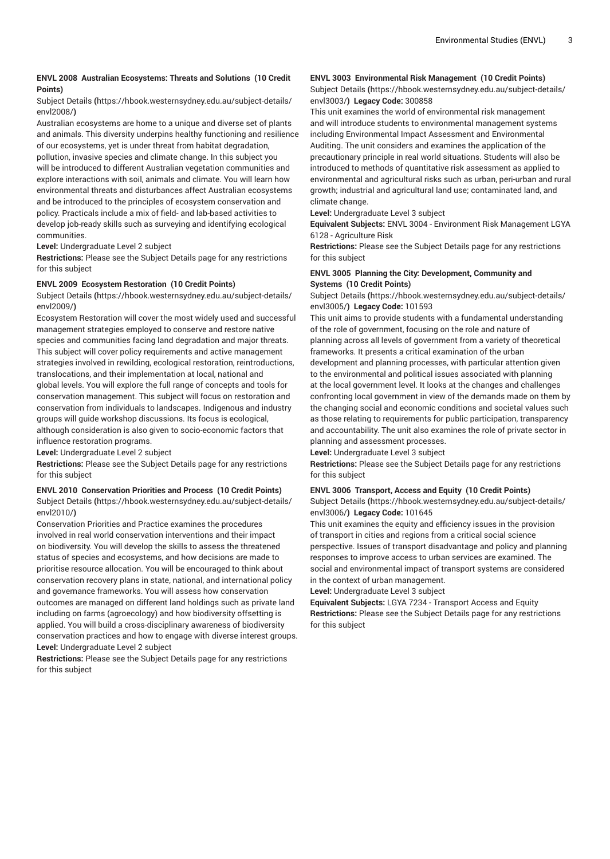# **ENVL 2008 Australian Ecosystems: Threats and Solutions (10 Credit Points)**

#### [Subject Details](https://hbook.westernsydney.edu.au/subject-details/envl2008/) **(**[https://hbook.westernsydney.edu.au/subject-details/](https://hbook.westernsydney.edu.au/subject-details/envl2008/) [envl2008/](https://hbook.westernsydney.edu.au/subject-details/envl2008/)**)**

Australian ecosystems are home to a unique and diverse set of plants and animals. This diversity underpins healthy functioning and resilience of our ecosystems, yet is under threat from habitat degradation, pollution, invasive species and climate change. In this subject you will be introduced to different Australian vegetation communities and explore interactions with soil, animals and climate. You will learn how environmental threats and disturbances affect Australian ecosystems and be introduced to the principles of ecosystem conservation and policy. Practicals include a mix of field- and lab-based activities to develop job-ready skills such as surveying and identifying ecological communities.

**Level:** Undergraduate Level 2 subject

**Restrictions:** Please see the Subject Details page for any restrictions for this subject

#### **ENVL 2009 Ecosystem Restoration (10 Credit Points)**

[Subject Details](https://hbook.westernsydney.edu.au/subject-details/envl2009/) **(**[https://hbook.westernsydney.edu.au/subject-details/](https://hbook.westernsydney.edu.au/subject-details/envl2009/) [envl2009/](https://hbook.westernsydney.edu.au/subject-details/envl2009/)**)**

Ecosystem Restoration will cover the most widely used and successful management strategies employed to conserve and restore native species and communities facing land degradation and major threats. This subject will cover policy requirements and active management strategies involved in rewilding, ecological restoration, reintroductions, translocations, and their implementation at local, national and global levels. You will explore the full range of concepts and tools for conservation management. This subject will focus on restoration and conservation from individuals to landscapes. Indigenous and industry groups will guide workshop discussions. Its focus is ecological, although consideration is also given to socio-economic factors that influence restoration programs.

**Level:** Undergraduate Level 2 subject

**Restrictions:** Please see the Subject Details page for any restrictions for this subject

# **ENVL 2010 Conservation Priorities and Process (10 Credit Points)**

[Subject Details](https://hbook.westernsydney.edu.au/subject-details/envl2010/) **(**[https://hbook.westernsydney.edu.au/subject-details/](https://hbook.westernsydney.edu.au/subject-details/envl2010/) [envl2010/](https://hbook.westernsydney.edu.au/subject-details/envl2010/)**)**

Conservation Priorities and Practice examines the procedures involved in real world conservation interventions and their impact on biodiversity. You will develop the skills to assess the threatened status of species and ecosystems, and how decisions are made to prioritise resource allocation. You will be encouraged to think about conservation recovery plans in state, national, and international policy and governance frameworks. You will assess how conservation outcomes are managed on different land holdings such as private land including on farms (agroecology) and how biodiversity offsetting is applied. You will build a cross-disciplinary awareness of biodiversity conservation practices and how to engage with diverse interest groups. **Level:** Undergraduate Level 2 subject

**Restrictions:** Please see the Subject Details page for any restrictions for this subject

# **ENVL 3003 Environmental Risk Management (10 Credit Points)**

[Subject Details](https://hbook.westernsydney.edu.au/subject-details/envl3003/) **(**[https://hbook.westernsydney.edu.au/subject-details/](https://hbook.westernsydney.edu.au/subject-details/envl3003/) [envl3003/](https://hbook.westernsydney.edu.au/subject-details/envl3003/)**) Legacy Code:** 300858

This unit examines the world of environmental risk management and will introduce students to environmental management systems including Environmental Impact Assessment and Environmental Auditing. The unit considers and examines the application of the precautionary principle in real world situations. Students will also be introduced to methods of quantitative risk assessment as applied to environmental and agricultural risks such as urban, peri-urban and rural growth; industrial and agricultural land use; contaminated land, and climate change.

**Level:** Undergraduate Level 3 subject

**Equivalent Subjects:** ENVL 3004 - Environment Risk Management LGYA 6128 - Agriculture Risk

**Restrictions:** Please see the Subject Details page for any restrictions for this subject

# **ENVL 3005 Planning the City: Development, Community and Systems (10 Credit Points)**

[Subject Details](https://hbook.westernsydney.edu.au/subject-details/envl3005/) **(**[https://hbook.westernsydney.edu.au/subject-details/](https://hbook.westernsydney.edu.au/subject-details/envl3005/) [envl3005/](https://hbook.westernsydney.edu.au/subject-details/envl3005/)**) Legacy Code:** 101593

This unit aims to provide students with a fundamental understanding of the role of government, focusing on the role and nature of planning across all levels of government from a variety of theoretical frameworks. It presents a critical examination of the urban development and planning processes, with particular attention given to the environmental and political issues associated with planning at the local government level. It looks at the changes and challenges confronting local government in view of the demands made on them by the changing social and economic conditions and societal values such as those relating to requirements for public participation, transparency and accountability. The unit also examines the role of private sector in planning and assessment processes.

**Level:** Undergraduate Level 3 subject

**Restrictions:** Please see the Subject Details page for any restrictions for this subject

# **ENVL 3006 Transport, Access and Equity (10 Credit Points)**

[Subject Details](https://hbook.westernsydney.edu.au/subject-details/envl3006/) **(**[https://hbook.westernsydney.edu.au/subject-details/](https://hbook.westernsydney.edu.au/subject-details/envl3006/) [envl3006/](https://hbook.westernsydney.edu.au/subject-details/envl3006/)**) Legacy Code:** 101645

This unit examines the equity and efficiency issues in the provision of transport in cities and regions from a critical social science perspective. Issues of transport disadvantage and policy and planning responses to improve access to urban services are examined. The social and environmental impact of transport systems are considered in the context of urban management.

**Level:** Undergraduate Level 3 subject

**Equivalent Subjects:** LGYA 7234 - Transport Access and Equity **Restrictions:** Please see the Subject Details page for any restrictions for this subject